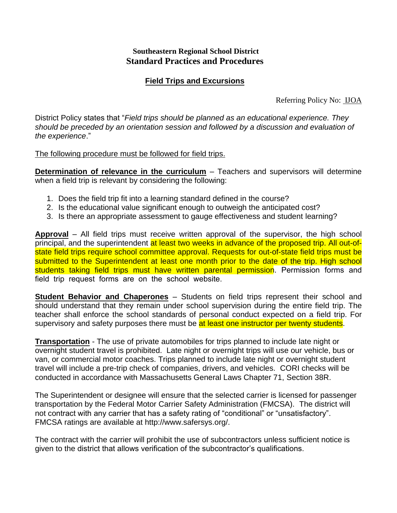## **Southeastern Regional School District Standard Practices and Procedures**

## **Field Trips and Excursions**

Referring Policy No: IJOA

District Policy states that "*Field trips should be planned as an educational experience. They should be preceded by an orientation session and followed by a discussion and evaluation of the experience*."

## The following procedure must be followed for field trips.

**Determination of relevance in the curriculum** – Teachers and supervisors will determine when a field trip is relevant by considering the following:

- 1. Does the field trip fit into a learning standard defined in the course?
- 2. Is the educational value significant enough to outweigh the anticipated cost?
- 3. Is there an appropriate assessment to gauge effectiveness and student learning?

**Approval** – All field trips must receive written approval of the supervisor, the high school principal, and the superintendent at least two weeks in advance of the proposed trip. All out-ofstate field trips require school committee approval. Requests for out-of-state field trips must be submitted to the Superintendent at least one month prior to the date of the trip. High school students taking field trips must have written parental permission. Permission forms and field trip request forms are on the school website.

**Student Behavior and Chaperones** – Students on field trips represent their school and should understand that they remain under school supervision during the entire field trip. The teacher shall enforce the school standards of personal conduct expected on a field trip. For supervisory and safety purposes there must be at least one instructor per twenty students.

**Transportation** - The use of private automobiles for trips planned to include late night or overnight student travel is prohibited. Late night or overnight trips will use our vehicle, bus or van, or commercial motor coaches. Trips planned to include late night or overnight student travel will include a pre-trip check of companies, drivers, and vehicles. CORI checks will be conducted in accordance with Massachusetts General Laws Chapter 71, Section 38R.

The Superintendent or designee will ensure that the selected carrier is licensed for passenger transportation by the Federal Motor Carrier Safety Administration (FMCSA). The district will not contract with any carrier that has a safety rating of "conditional" or "unsatisfactory". FMCSA ratings are available at http://www.safersys.org/.

The contract with the carrier will prohibit the use of subcontractors unless sufficient notice is given to the district that allows verification of the subcontractor's qualifications.